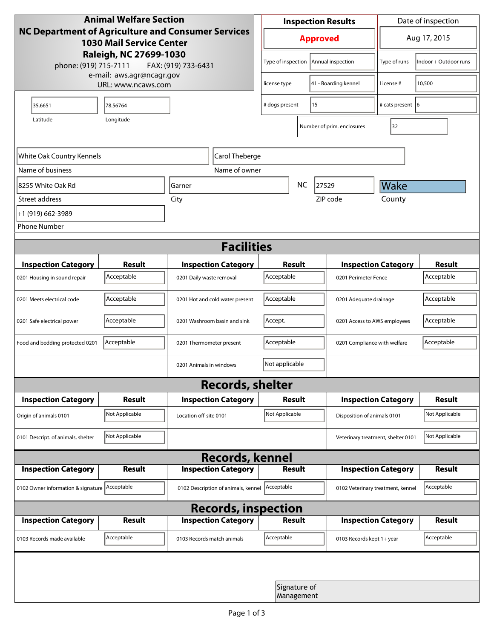| <b>Animal Welfare Section</b><br><b>NC Department of Agriculture and Consumer Services</b><br><b>1030 Mail Service Center</b><br>Raleigh, NC 27699-1030 |                                                 |                                     | <b>Inspection Results</b>                  |                   |                                    | Date of inspection          |                |  |
|---------------------------------------------------------------------------------------------------------------------------------------------------------|-------------------------------------------------|-------------------------------------|--------------------------------------------|-------------------|------------------------------------|-----------------------------|----------------|--|
|                                                                                                                                                         |                                                 |                                     | <b>Approved</b>                            |                   |                                    | Aug 17, 2015                |                |  |
| phone: (919) 715-7111                                                                                                                                   | FAX: (919) 733-6431                             | Type of inspection                  |                                            | Annual inspection | Type of runs                       | Indoor + Outdoor runs       |                |  |
|                                                                                                                                                         | e-mail: aws.agr@ncagr.gov<br>URL: www.ncaws.com |                                     | license type                               |                   | 41 - Boarding kennel               | License #                   | 10,500         |  |
| 35.6651                                                                                                                                                 | 78.56764                                        |                                     | 15<br># dogs present                       |                   |                                    | # cats present 6            |                |  |
| Latitude                                                                                                                                                | Longitude                                       |                                     |                                            |                   | Number of prim. enclosures         | 32                          |                |  |
| White Oak Country Kennels<br>Carol Theberge                                                                                                             |                                                 |                                     |                                            |                   |                                    |                             |                |  |
| Name of business                                                                                                                                        |                                                 | Name of owner                       |                                            |                   |                                    |                             |                |  |
| 8255 White Oak Rd                                                                                                                                       |                                                 | <b>NC</b><br>Garner                 |                                            | 27529             | Wake                               |                             |                |  |
| Street address                                                                                                                                          |                                                 | City                                |                                            |                   | ZIP code                           | County                      |                |  |
| +1 (919) 662-3989                                                                                                                                       |                                                 |                                     |                                            |                   |                                    |                             |                |  |
| <b>Phone Number</b>                                                                                                                                     |                                                 |                                     |                                            |                   |                                    |                             |                |  |
| <b>Facilities</b>                                                                                                                                       |                                                 |                                     |                                            |                   |                                    |                             |                |  |
| <b>Inspection Category</b>                                                                                                                              | <b>Result</b>                                   | <b>Inspection Category</b>          | Result                                     |                   | <b>Inspection Category</b>         |                             | <b>Result</b>  |  |
| 0201 Housing in sound repair                                                                                                                            | Acceptable                                      | 0201 Daily waste removal            | Acceptable                                 |                   | 0201 Perimeter Fence               |                             | Acceptable     |  |
| 0201 Meets electrical code                                                                                                                              | Acceptable                                      | 0201 Hot and cold water present     | Acceptable<br>0201 Adequate drainage       |                   |                                    | Acceptable                  |                |  |
| 0201 Safe electrical power                                                                                                                              | Acceptable                                      | 0201 Washroom basin and sink        | Accept.<br>0201 Access to AWS employees    |                   |                                    | Acceptable                  |                |  |
| Food and bedding protected 0201                                                                                                                         | Acceptable                                      | 0201 Thermometer present            | Acceptable<br>0201 Compliance with welfare |                   |                                    | Acceptable                  |                |  |
|                                                                                                                                                         |                                                 | 0201 Animals in windows             | Not applicable                             |                   |                                    |                             |                |  |
| <b>Records, shelter</b>                                                                                                                                 |                                                 |                                     |                                            |                   |                                    |                             |                |  |
| <b>Inspection Category</b>                                                                                                                              | Result                                          | <b>Inspection Category</b>          | <b>Result</b>                              |                   |                                    | <b>Inspection Category</b>  | <b>Result</b>  |  |
| Origin of animals 0101                                                                                                                                  | Not Applicable                                  | Location off-site 0101              | Not Applicable                             |                   |                                    | Disposition of animals 0101 |                |  |
| 0101 Descript. of animals, shelter                                                                                                                      | Not Applicable                                  |                                     |                                            |                   | Veterinary treatment, shelter 0101 |                             | Not Applicable |  |
| <b>Records, kennel</b>                                                                                                                                  |                                                 |                                     |                                            |                   |                                    |                             |                |  |
| <b>Inspection Category</b>                                                                                                                              | <b>Result</b>                                   | <b>Inspection Category</b>          | <b>Result</b>                              |                   |                                    | <b>Inspection Category</b>  | <b>Result</b>  |  |
| 0102 Owner information & signature Acceptable                                                                                                           |                                                 | 0102 Description of animals, kennel | Acceptable                                 |                   | 0102 Veterinary treatment, kennel  |                             | Acceptable     |  |
| <b>Records, inspection</b>                                                                                                                              |                                                 |                                     |                                            |                   |                                    |                             |                |  |
| <b>Inspection Category</b>                                                                                                                              | <b>Result</b>                                   | <b>Inspection Category</b>          | Result                                     |                   |                                    | <b>Inspection Category</b>  | <b>Result</b>  |  |
| 0103 Records made available                                                                                                                             | Acceptable                                      | 0103 Records match animals          | Acceptable                                 |                   | 0103 Records kept 1+ year          |                             | Acceptable     |  |
|                                                                                                                                                         |                                                 |                                     |                                            |                   |                                    |                             |                |  |
| Signature of<br>Management                                                                                                                              |                                                 |                                     |                                            |                   |                                    |                             |                |  |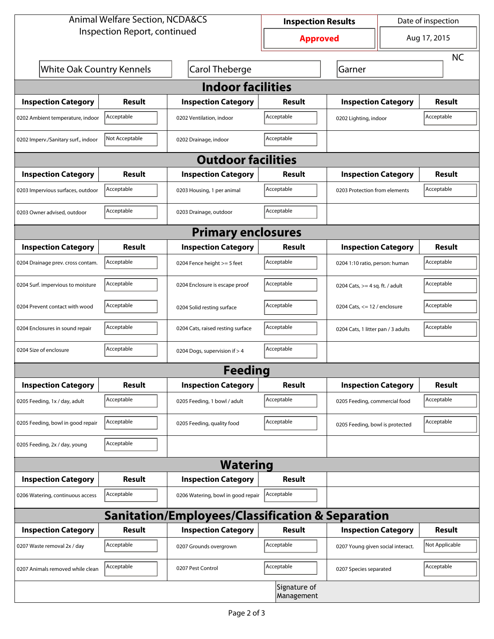| <b>Animal Welfare Section, NCDA&amp;CS</b>                  |                |                                    | <b>Inspection Results</b> |                                     | Date of inspection |                |  |  |
|-------------------------------------------------------------|----------------|------------------------------------|---------------------------|-------------------------------------|--------------------|----------------|--|--|
| Inspection Report, continued                                |                |                                    | <b>Approved</b>           |                                     | Aug 17, 2015       |                |  |  |
|                                                             |                |                                    |                           |                                     |                    | <b>NC</b>      |  |  |
| <b>White Oak Country Kennels</b>                            |                | Carol Theberge                     |                           | Garner                              |                    |                |  |  |
| <b>Indoor facilities</b>                                    |                |                                    |                           |                                     |                    |                |  |  |
| <b>Inspection Category</b>                                  | Result         | <b>Inspection Category</b>         | Result                    | <b>Inspection Category</b>          |                    | <b>Result</b>  |  |  |
| 0202 Ambient temperature, indoor                            | Acceptable     | 0202 Ventilation, indoor           | Acceptable                | Acceptable<br>0202 Lighting, indoor |                    |                |  |  |
| 0202 Imperv./Sanitary surf., indoor                         | Not Acceptable | 0202 Drainage, indoor              | Acceptable                |                                     |                    |                |  |  |
|                                                             |                | <b>Outdoor facilities</b>          |                           |                                     |                    |                |  |  |
| <b>Inspection Category</b>                                  | Result         | <b>Inspection Category</b>         | Result                    | <b>Inspection Category</b>          |                    | <b>Result</b>  |  |  |
| 0203 Impervious surfaces, outdoor                           | Acceptable     | 0203 Housing, 1 per animal         | Acceptable                | 0203 Protection from elements       |                    | Acceptable     |  |  |
| 0203 Owner advised, outdoor                                 | Acceptable     | 0203 Drainage, outdoor             | Acceptable                |                                     |                    |                |  |  |
| <b>Primary enclosures</b>                                   |                |                                    |                           |                                     |                    |                |  |  |
| <b>Inspection Category</b>                                  | Result         | <b>Inspection Category</b>         | Result                    | <b>Inspection Category</b>          |                    | Result         |  |  |
| 0204 Drainage prev. cross contam.                           | Acceptable     | 0204 Fence height >= 5 feet        | Acceptable                | 0204 1:10 ratio, person: human      |                    | Acceptable     |  |  |
| 0204 Surf. impervious to moisture                           | Acceptable     | 0204 Enclosure is escape proof     | Acceptable                | 0204 Cats, $>=$ 4 sq. ft. / adult   |                    | Acceptable     |  |  |
| 0204 Prevent contact with wood                              | Acceptable     | 0204 Solid resting surface         | Acceptable                | 0204 Cats, $<= 12$ / enclosure      |                    | Acceptable     |  |  |
| 0204 Enclosures in sound repair                             | Acceptable     | 0204 Cats, raised resting surface  | Acceptable                | 0204 Cats, 1 litter pan / 3 adults  |                    | Acceptable     |  |  |
| 0204 Size of enclosure                                      | Acceptable     | 0204 Dogs, supervision if > 4      | Acceptable                |                                     |                    |                |  |  |
|                                                             |                | <b>Feeding</b>                     |                           |                                     |                    |                |  |  |
| <b>Inspection Category</b>                                  | <b>Result</b>  | <b>Inspection Category</b>         | Result                    | <b>Inspection Category</b>          |                    | <b>Result</b>  |  |  |
| 0205 Feeding, 1x / day, adult                               | Acceptable     | 0205 Feeding, 1 bowl / adult       | Acceptable                | 0205 Feeding, commercial food       |                    | Acceptable     |  |  |
| 0205 Feeding, bowl in good repair                           | Acceptable     | 0205 Feeding, quality food         | Acceptable                | 0205 Feeding, bowl is protected     |                    | Acceptable     |  |  |
| 0205 Feeding, 2x / day, young                               | Acceptable     |                                    |                           |                                     |                    |                |  |  |
| <b>Watering</b>                                             |                |                                    |                           |                                     |                    |                |  |  |
| <b>Inspection Category</b>                                  | <b>Result</b>  | <b>Inspection Category</b>         | Result                    |                                     |                    |                |  |  |
| 0206 Watering, continuous access                            | Acceptable     | 0206 Watering, bowl in good repair | Acceptable                |                                     |                    |                |  |  |
| <b>Sanitation/Employees/Classification &amp; Separation</b> |                |                                    |                           |                                     |                    |                |  |  |
| <b>Inspection Category</b>                                  | <b>Result</b>  | <b>Inspection Category</b>         | Result                    | <b>Inspection Category</b>          |                    | <b>Result</b>  |  |  |
| 0207 Waste removal 2x / day                                 | Acceptable     | 0207 Grounds overgrown             | Acceptable                | 0207 Young given social interact.   |                    | Not Applicable |  |  |
| 0207 Animals removed while clean                            | Acceptable     | 0207 Pest Control                  | Acceptable                | 0207 Species separated              |                    | Acceptable     |  |  |
| Signature of<br>Management                                  |                |                                    |                           |                                     |                    |                |  |  |